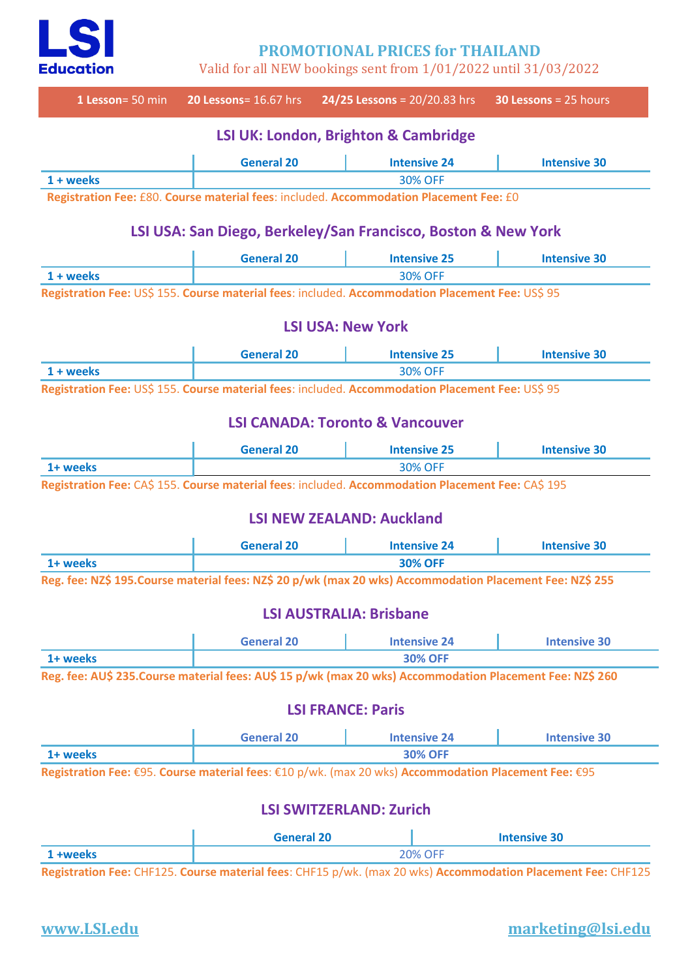

**PROMOTIONAL PRICES for THAILAND**

Valid for all NEW bookings sent from 1/01/2022 until 31/03/2022



## **www.LSI.edu marketing@lsi.edu**